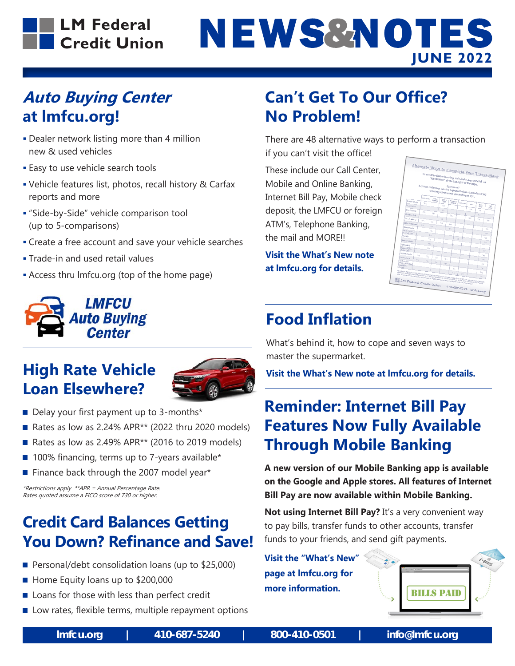#### **LM Federal** Credit Union

# NEWS&NOTES **JUNE 2022**

#### **Auto Buying Center at lmfcu.org!**

- Dealer network listing more than 4 million new & used vehicles
- **Easy to use vehicle search tools**
- Vehicle features list, photos, recall history & Carfax reports and more
- "Side-by-Side" vehicle comparison tool (up to 5-comparisons)
- Create a free account and save your vehicle searches
- **Trade-in and used retail values**
- Access thru lmfcu.org (top of the home page)



#### **High Rate Vehicle Loan Elsewhere?**



- Delay your first payment up to 3-months\*
- Rates as low as 2.24% APR $**$  (2022 thru 2020 models)
- Rates as low as 2.49% APR<sup>\*\*</sup> (2016 to 2019 models)
- $\blacksquare$  100% financing, terms up to 7-years available\*
- $\blacksquare$  Finance back through the 2007 model year\*

\*Restrictions apply \*\*APR = Annual Percentage Rate. Rates quoted assume a FICO score of 730 or higher.

#### **Credit Card Balances Getting You Down? Refinance and Save!**

- Personal/debt consolidation loans (up to  $$25,000$ )
- Home Equity loans up to \$200,000
- $\blacksquare$  Loans for those with less than perfect credit
- $\blacksquare$  Low rates, flexible terms, multiple repayment options

#### **Can't Get To Our Office? No Problem!**

There are 48 alternative ways to perform a transaction

if you can't visit the office!

These include our Call Center, Mobile and Online Banking, Internet Bill Pay, Mobile check deposit, the LMFCU or foreign ATM's, Telephone Banking, the mail and MORE!!

**Visit the What's New note at lmfcu.org for details.** 



## **Food Inflation**

What's behind it, how to cope and seven ways to master the supermarket.

**Visit the What's New note at lmfcu.org for details.** 

#### **Reminder: Internet Bill Pay Features Now Fully Available Through Mobile Banking**

**A new version of our Mobile Banking app is available on the Google and Apple stores. All features of Internet Bill Pay are now available within Mobile Banking.**

**Not using Internet Bill Pay?** It's a very convenient way to pay bills, transfer funds to other accounts, transfer funds to your friends, and send gift payments.

**Visit the "What's New" page at lmfcu.org for more information.**